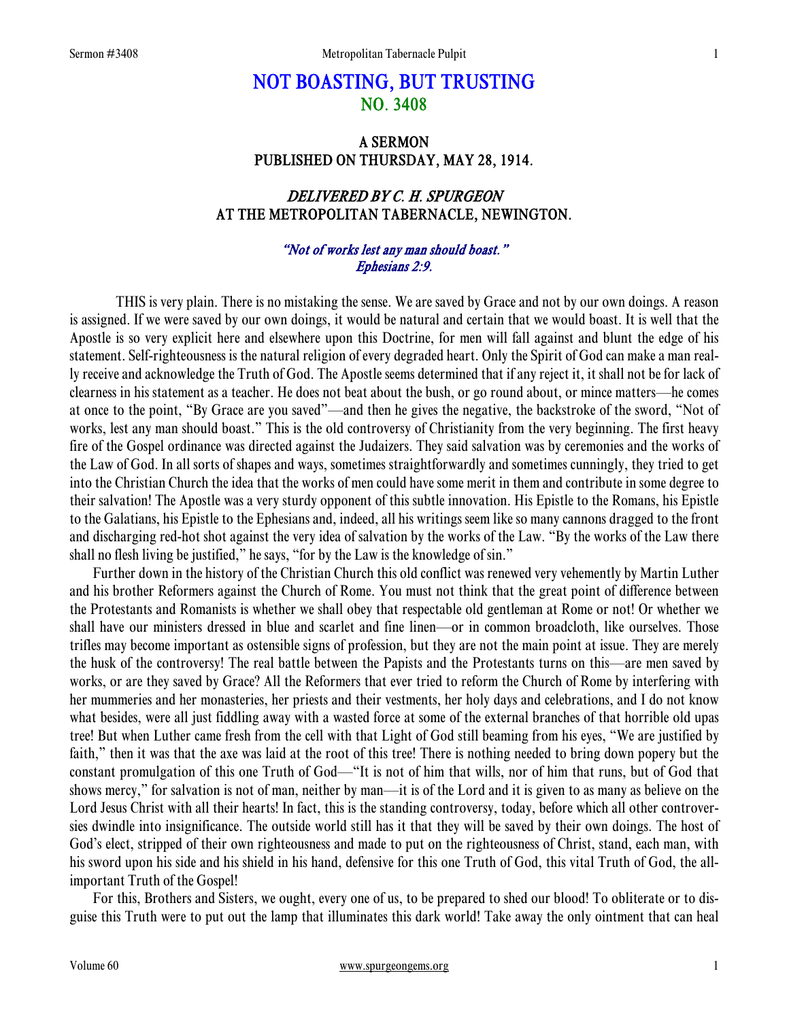# NOT BOASTING, BUT TRUSTING NO. 3408

# A SERMON PUBLISHED ON THURSDAY, MAY 28, 1914.

# DELIVERED BY C. H. SPURGEON AT THE METROPOLITAN TABERNACLE, NEWINGTON.

### "Not of works lest any man should boast." Ephesians 2:9.

 THIS is very plain. There is no mistaking the sense. We are saved by Grace and not by our own doings. A reason is assigned. If we were saved by our own doings, it would be natural and certain that we would boast. It is well that the Apostle is so very explicit here and elsewhere upon this Doctrine, for men will fall against and blunt the edge of his statement. Self-righteousness is the natural religion of every degraded heart. Only the Spirit of God can make a man really receive and acknowledge the Truth of God. The Apostle seems determined that if any reject it, it shall not be for lack of clearness in his statement as a teacher. He does not beat about the bush, or go round about, or mince matters—he comes at once to the point, "By Grace are you saved"—and then he gives the negative, the backstroke of the sword, "Not of works, lest any man should boast." This is the old controversy of Christianity from the very beginning. The first heavy fire of the Gospel ordinance was directed against the Judaizers. They said salvation was by ceremonies and the works of the Law of God. In all sorts of shapes and ways, sometimes straightforwardly and sometimes cunningly, they tried to get into the Christian Church the idea that the works of men could have some merit in them and contribute in some degree to their salvation! The Apostle was a very sturdy opponent of this subtle innovation. His Epistle to the Romans, his Epistle to the Galatians, his Epistle to the Ephesians and, indeed, all his writings seem like so many cannons dragged to the front and discharging red-hot shot against the very idea of salvation by the works of the Law. "By the works of the Law there shall no flesh living be justified," he says, "for by the Law is the knowledge of sin."

Further down in the history of the Christian Church this old conflict was renewed very vehemently by Martin Luther and his brother Reformers against the Church of Rome. You must not think that the great point of difference between the Protestants and Romanists is whether we shall obey that respectable old gentleman at Rome or not! Or whether we shall have our ministers dressed in blue and scarlet and fine linen—or in common broadcloth, like ourselves. Those trifles may become important as ostensible signs of profession, but they are not the main point at issue. They are merely the husk of the controversy! The real battle between the Papists and the Protestants turns on this—are men saved by works, or are they saved by Grace? All the Reformers that ever tried to reform the Church of Rome by interfering with her mummeries and her monasteries, her priests and their vestments, her holy days and celebrations, and I do not know what besides, were all just fiddling away with a wasted force at some of the external branches of that horrible old upas tree! But when Luther came fresh from the cell with that Light of God still beaming from his eyes, "We are justified by faith," then it was that the axe was laid at the root of this tree! There is nothing needed to bring down popery but the constant promulgation of this one Truth of God—"It is not of him that wills, nor of him that runs, but of God that shows mercy," for salvation is not of man, neither by man—it is of the Lord and it is given to as many as believe on the Lord Jesus Christ with all their hearts! In fact, this is the standing controversy, today, before which all other controversies dwindle into insignificance. The outside world still has it that they will be saved by their own doings. The host of God's elect, stripped of their own righteousness and made to put on the righteousness of Christ, stand, each man, with his sword upon his side and his shield in his hand, defensive for this one Truth of God, this vital Truth of God, the allimportant Truth of the Gospel!

For this, Brothers and Sisters, we ought, every one of us, to be prepared to shed our blood! To obliterate or to disguise this Truth were to put out the lamp that illuminates this dark world! Take away the only ointment that can heal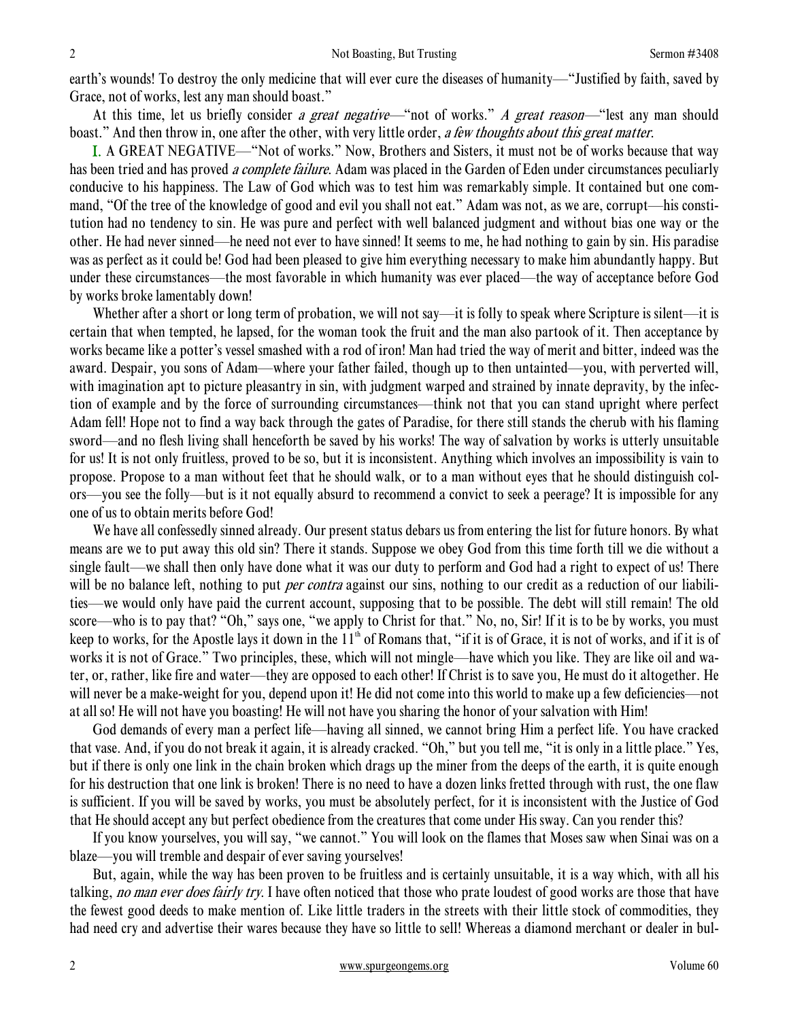earth's wounds! To destroy the only medicine that will ever cure the diseases of humanity—"Justified by faith, saved by Grace, not of works, lest any man should boast."

At this time, let us briefly consider *a great negative*—"not of works." *A great reason*—"lest any man should boast." And then throw in, one after the other, with very little order, a few thoughts about this great matter.

I. A GREAT NEGATIVE—"Not of works." Now, Brothers and Sisters, it must not be of works because that way has been tried and has proved *a complete failure*. Adam was placed in the Garden of Eden under circumstances peculiarly conducive to his happiness. The Law of God which was to test him was remarkably simple. It contained but one command, "Of the tree of the knowledge of good and evil you shall not eat." Adam was not, as we are, corrupt—his constitution had no tendency to sin. He was pure and perfect with well balanced judgment and without bias one way or the other. He had never sinned—he need not ever to have sinned! It seems to me, he had nothing to gain by sin. His paradise was as perfect as it could be! God had been pleased to give him everything necessary to make him abundantly happy. But under these circumstances—the most favorable in which humanity was ever placed—the way of acceptance before God by works broke lamentably down!

Whether after a short or long term of probation, we will not say—it is folly to speak where Scripture is silent—it is certain that when tempted, he lapsed, for the woman took the fruit and the man also partook of it. Then acceptance by works became like a potter's vessel smashed with a rod of iron! Man had tried the way of merit and bitter, indeed was the award. Despair, you sons of Adam—where your father failed, though up to then untainted—you, with perverted will, with imagination apt to picture pleasantry in sin, with judgment warped and strained by innate depravity, by the infection of example and by the force of surrounding circumstances—think not that you can stand upright where perfect Adam fell! Hope not to find a way back through the gates of Paradise, for there still stands the cherub with his flaming sword—and no flesh living shall henceforth be saved by his works! The way of salvation by works is utterly unsuitable for us! It is not only fruitless, proved to be so, but it is inconsistent. Anything which involves an impossibility is vain to propose. Propose to a man without feet that he should walk, or to a man without eyes that he should distinguish colors—you see the folly—but is it not equally absurd to recommend a convict to seek a peerage? It is impossible for any one of us to obtain merits before God!

We have all confessedly sinned already. Our present status debars us from entering the list for future honors. By what means are we to put away this old sin? There it stands. Suppose we obey God from this time forth till we die without a single fault—we shall then only have done what it was our duty to perform and God had a right to expect of us! There will be no balance left, nothing to put *per contra* against our sins, nothing to our credit as a reduction of our liabilities—we would only have paid the current account, supposing that to be possible. The debt will still remain! The old score—who is to pay that? "Oh," says one, "we apply to Christ for that." No, no, Sir! If it is to be by works, you must keep to works, for the Apostle lays it down in the  $11<sup>th</sup>$  of Romans that, "if it is of Grace, it is not of works, and if it is of works it is not of Grace." Two principles, these, which will not mingle—have which you like. They are like oil and water, or, rather, like fire and water—they are opposed to each other! If Christ is to save you, He must do it altogether. He will never be a make-weight for you, depend upon it! He did not come into this world to make up a few deficiencies—not at all so! He will not have you boasting! He will not have you sharing the honor of your salvation with Him!

God demands of every man a perfect life—having all sinned, we cannot bring Him a perfect life. You have cracked that vase. And, if you do not break it again, it is already cracked. "Oh," but you tell me, "it is only in a little place." Yes, but if there is only one link in the chain broken which drags up the miner from the deeps of the earth, it is quite enough for his destruction that one link is broken! There is no need to have a dozen links fretted through with rust, the one flaw is sufficient. If you will be saved by works, you must be absolutely perfect, for it is inconsistent with the Justice of God that He should accept any but perfect obedience from the creatures that come under His sway. Can you render this?

If you know yourselves, you will say, "we cannot." You will look on the flames that Moses saw when Sinai was on a blaze—you will tremble and despair of ever saving yourselves!

But, again, while the way has been proven to be fruitless and is certainly unsuitable, it is a way which, with all his talking, no man ever does fairly try. I have often noticed that those who prate loudest of good works are those that have the fewest good deeds to make mention of. Like little traders in the streets with their little stock of commodities, they had need cry and advertise their wares because they have so little to sell! Whereas a diamond merchant or dealer in bul-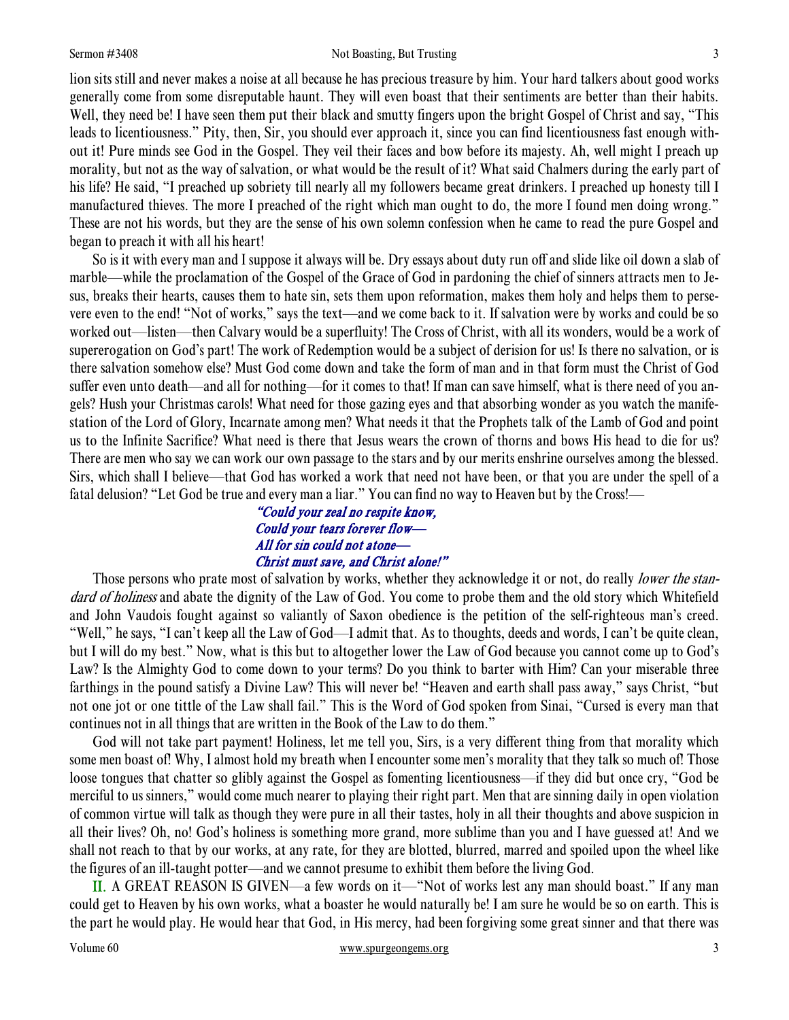#### Sermon #3408 **Not Boasting, But Trusting 3** 3

lion sits still and never makes a noise at all because he has precious treasure by him. Your hard talkers about good works generally come from some disreputable haunt. They will even boast that their sentiments are better than their habits. Well, they need be! I have seen them put their black and smutty fingers upon the bright Gospel of Christ and say, "This leads to licentiousness." Pity, then, Sir, you should ever approach it, since you can find licentiousness fast enough without it! Pure minds see God in the Gospel. They veil their faces and bow before its majesty. Ah, well might I preach up morality, but not as the way of salvation, or what would be the result of it? What said Chalmers during the early part of his life? He said, "I preached up sobriety till nearly all my followers became great drinkers. I preached up honesty till I manufactured thieves. The more I preached of the right which man ought to do, the more I found men doing wrong." These are not his words, but they are the sense of his own solemn confession when he came to read the pure Gospel and began to preach it with all his heart!

So is it with every man and I suppose it always will be. Dry essays about duty run off and slide like oil down a slab of marble—while the proclamation of the Gospel of the Grace of God in pardoning the chief of sinners attracts men to Jesus, breaks their hearts, causes them to hate sin, sets them upon reformation, makes them holy and helps them to persevere even to the end! "Not of works," says the text—and we come back to it. If salvation were by works and could be so worked out—listen—then Calvary would be a superfluity! The Cross of Christ, with all its wonders, would be a work of supererogation on God's part! The work of Redemption would be a subject of derision for us! Is there no salvation, or is there salvation somehow else? Must God come down and take the form of man and in that form must the Christ of God suffer even unto death—and all for nothing—for it comes to that! If man can save himself, what is there need of you angels? Hush your Christmas carols! What need for those gazing eyes and that absorbing wonder as you watch the manifestation of the Lord of Glory, Incarnate among men? What needs it that the Prophets talk of the Lamb of God and point us to the Infinite Sacrifice? What need is there that Jesus wears the crown of thorns and bows His head to die for us? There are men who say we can work our own passage to the stars and by our merits enshrine ourselves among the blessed. Sirs, which shall I believe—that God has worked a work that need not have been, or that you are under the spell of a fatal delusion? "Let God be true and every man a liar." You can find no way to Heaven but by the Cross!—

## "Could your zeal no respite know, Could your tears forever flow— All for sin could not atone— Christ must save, and Christ alone!"

Those persons who prate most of salvation by works, whether they acknowledge it or not, do really lower the standard of holiness and abate the dignity of the Law of God. You come to probe them and the old story which Whitefield and John Vaudois fought against so valiantly of Saxon obedience is the petition of the self-righteous man's creed. "Well," he says, "I can't keep all the Law of God—I admit that. As to thoughts, deeds and words, I can't be quite clean, but I will do my best." Now, what is this but to altogether lower the Law of God because you cannot come up to God's Law? Is the Almighty God to come down to your terms? Do you think to barter with Him? Can your miserable three farthings in the pound satisfy a Divine Law? This will never be! "Heaven and earth shall pass away," says Christ, "but not one jot or one tittle of the Law shall fail." This is the Word of God spoken from Sinai, "Cursed is every man that continues not in all things that are written in the Book of the Law to do them."

God will not take part payment! Holiness, let me tell you, Sirs, is a very different thing from that morality which some men boast of! Why, I almost hold my breath when I encounter some men's morality that they talk so much of! Those loose tongues that chatter so glibly against the Gospel as fomenting licentiousness—if they did but once cry, "God be merciful to us sinners," would come much nearer to playing their right part. Men that are sinning daily in open violation of common virtue will talk as though they were pure in all their tastes, holy in all their thoughts and above suspicion in all their lives? Oh, no! God's holiness is something more grand, more sublime than you and I have guessed at! And we shall not reach to that by our works, at any rate, for they are blotted, blurred, marred and spoiled upon the wheel like the figures of an ill-taught potter—and we cannot presume to exhibit them before the living God.

II. A GREAT REASON IS GIVEN—a few words on it—"Not of works lest any man should boast." If any man could get to Heaven by his own works, what a boaster he would naturally be! I am sure he would be so on earth. This is the part he would play. He would hear that God, in His mercy, had been forgiving some great sinner and that there was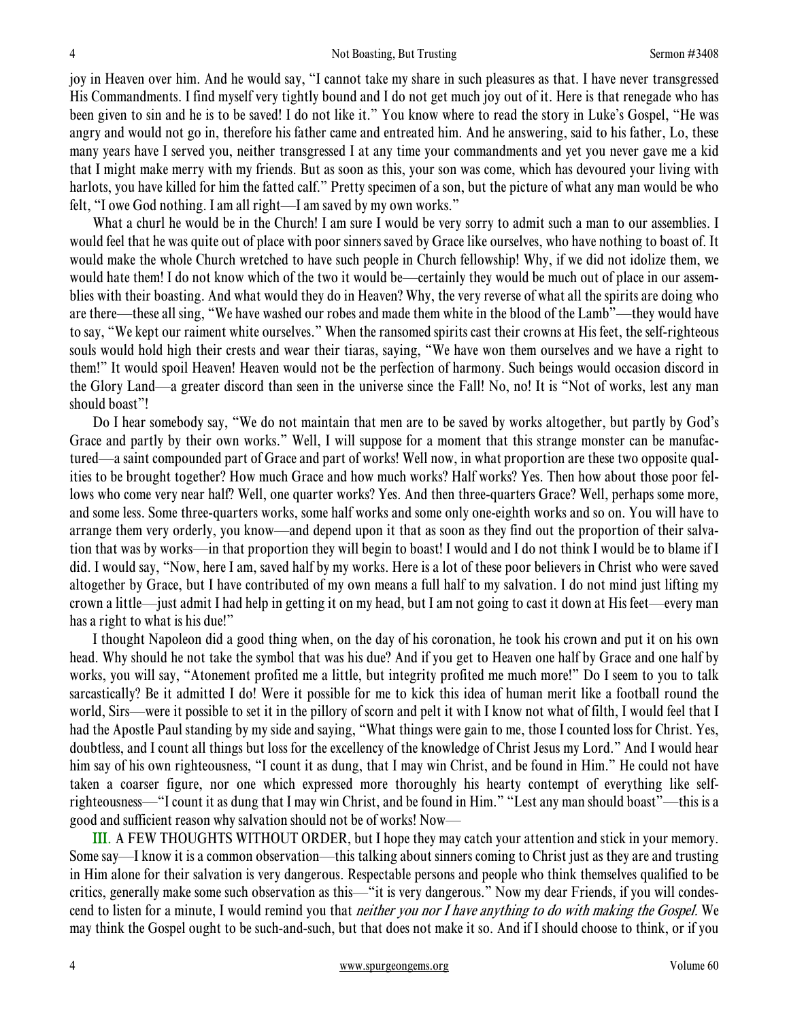joy in Heaven over him. And he would say, "I cannot take my share in such pleasures as that. I have never transgressed His Commandments. I find myself very tightly bound and I do not get much joy out of it. Here is that renegade who has been given to sin and he is to be saved! I do not like it." You know where to read the story in Luke's Gospel, "He was angry and would not go in, therefore his father came and entreated him. And he answering, said to his father, Lo, these many years have I served you, neither transgressed I at any time your commandments and yet you never gave me a kid that I might make merry with my friends. But as soon as this, your son was come, which has devoured your living with harlots, you have killed for him the fatted calf." Pretty specimen of a son, but the picture of what any man would be who felt, "I owe God nothing. I am all right—I am saved by my own works."

What a churl he would be in the Church! I am sure I would be very sorry to admit such a man to our assemblies. I would feel that he was quite out of place with poor sinners saved by Grace like ourselves, who have nothing to boast of. It would make the whole Church wretched to have such people in Church fellowship! Why, if we did not idolize them, we would hate them! I do not know which of the two it would be—certainly they would be much out of place in our assemblies with their boasting. And what would they do in Heaven? Why, the very reverse of what all the spirits are doing who are there—these all sing, "We have washed our robes and made them white in the blood of the Lamb"—they would have to say, "We kept our raiment white ourselves." When the ransomed spirits cast their crowns at His feet, the self-righteous souls would hold high their crests and wear their tiaras, saying, "We have won them ourselves and we have a right to them!" It would spoil Heaven! Heaven would not be the perfection of harmony. Such beings would occasion discord in the Glory Land—a greater discord than seen in the universe since the Fall! No, no! It is "Not of works, lest any man should boast"!

Do I hear somebody say, "We do not maintain that men are to be saved by works altogether, but partly by God's Grace and partly by their own works." Well, I will suppose for a moment that this strange monster can be manufactured—a saint compounded part of Grace and part of works! Well now, in what proportion are these two opposite qualities to be brought together? How much Grace and how much works? Half works? Yes. Then how about those poor fellows who come very near half? Well, one quarter works? Yes. And then three-quarters Grace? Well, perhaps some more, and some less. Some three-quarters works, some half works and some only one-eighth works and so on. You will have to arrange them very orderly, you know—and depend upon it that as soon as they find out the proportion of their salvation that was by works—in that proportion they will begin to boast! I would and I do not think I would be to blame if I did. I would say, "Now, here I am, saved half by my works. Here is a lot of these poor believers in Christ who were saved altogether by Grace, but I have contributed of my own means a full half to my salvation. I do not mind just lifting my crown a little—just admit I had help in getting it on my head, but I am not going to cast it down at His feet—every man has a right to what is his due!"

I thought Napoleon did a good thing when, on the day of his coronation, he took his crown and put it on his own head. Why should he not take the symbol that was his due? And if you get to Heaven one half by Grace and one half by works, you will say, "Atonement profited me a little, but integrity profited me much more!" Do I seem to you to talk sarcastically? Be it admitted I do! Were it possible for me to kick this idea of human merit like a football round the world, Sirs—were it possible to set it in the pillory of scorn and pelt it with I know not what of filth, I would feel that I had the Apostle Paul standing by my side and saying, "What things were gain to me, those I counted loss for Christ. Yes, doubtless, and I count all things but loss for the excellency of the knowledge of Christ Jesus my Lord." And I would hear him say of his own righteousness, "I count it as dung, that I may win Christ, and be found in Him." He could not have taken a coarser figure, nor one which expressed more thoroughly his hearty contempt of everything like selfrighteousness—"I count it as dung that I may win Christ, and be found in Him." "Lest any man should boast"—this is a good and sufficient reason why salvation should not be of works! Now—

III. A FEW THOUGHTS WITHOUT ORDER, but I hope they may catch your attention and stick in your memory. Some say—I know it is a common observation—this talking about sinners coming to Christ just as they are and trusting in Him alone for their salvation is very dangerous. Respectable persons and people who think themselves qualified to be critics, generally make some such observation as this—"it is very dangerous." Now my dear Friends, if you will condescend to listen for a minute, I would remind you that *neither you nor I have anything to do with making the Gospel*. We may think the Gospel ought to be such-and-such, but that does not make it so. And if I should choose to think, or if you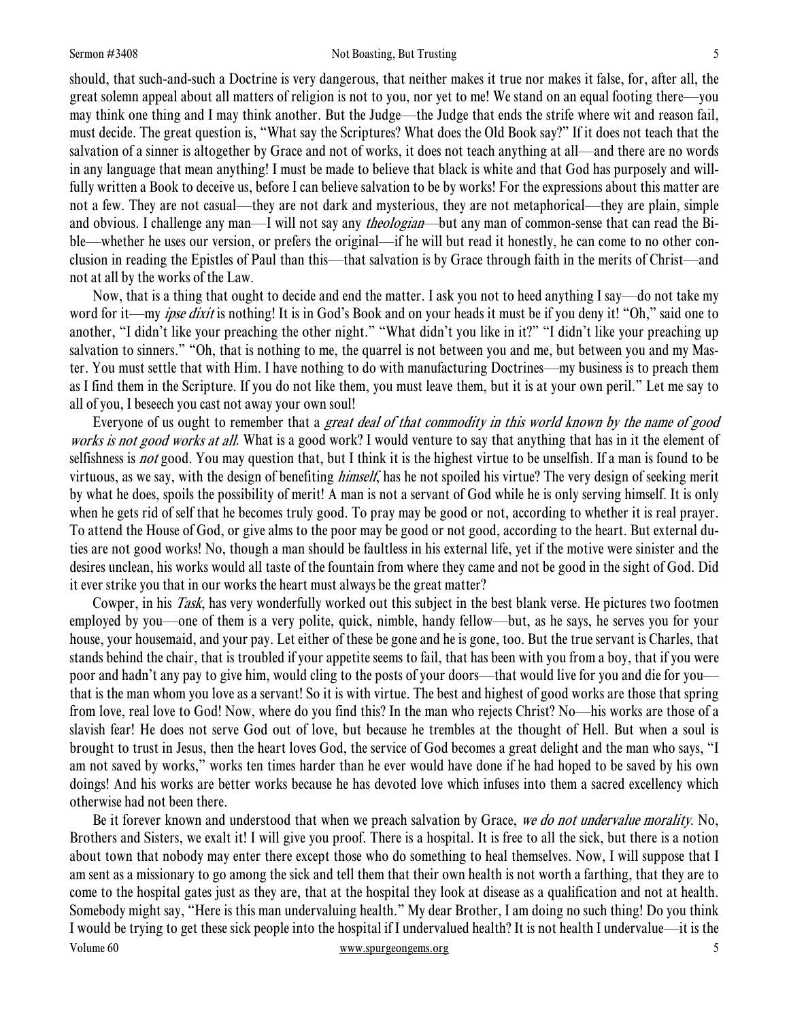#### Sermon #3408 **Sermon #3408** Not Boasting, But Trusting 5

should, that such-and-such a Doctrine is very dangerous, that neither makes it true nor makes it false, for, after all, the great solemn appeal about all matters of religion is not to you, nor yet to me! We stand on an equal footing there—you may think one thing and I may think another. But the Judge—the Judge that ends the strife where wit and reason fail, must decide. The great question is, "What say the Scriptures? What does the Old Book say?" If it does not teach that the salvation of a sinner is altogether by Grace and not of works, it does not teach anything at all—and there are no words in any language that mean anything! I must be made to believe that black is white and that God has purposely and willfully written a Book to deceive us, before I can believe salvation to be by works! For the expressions about this matter are not a few. They are not casual—they are not dark and mysterious, they are not metaphorical—they are plain, simple and obvious. I challenge any man—I will not say any *theologian*—but any man of common-sense that can read the Bible—whether he uses our version, or prefers the original—if he will but read it honestly, he can come to no other conclusion in reading the Epistles of Paul than this—that salvation is by Grace through faith in the merits of Christ—and not at all by the works of the Law.

Now, that is a thing that ought to decide and end the matter. I ask you not to heed anything I say—do not take my word for it—my *ipse dixit* is nothing! It is in God's Book and on your heads it must be if you deny it! "Oh," said one to another, "I didn't like your preaching the other night." "What didn't you like in it?" "I didn't like your preaching up salvation to sinners." "Oh, that is nothing to me, the quarrel is not between you and me, but between you and my Master. You must settle that with Him. I have nothing to do with manufacturing Doctrines—my business is to preach them as I find them in the Scripture. If you do not like them, you must leave them, but it is at your own peril." Let me say to all of you, I beseech you cast not away your own soul!

Everyone of us ought to remember that a great deal of that commodity in this world known by the name of good works is not good works at all. What is a good work? I would venture to say that anything that has in it the element of selfishness is *not* good. You may question that, but I think it is the highest virtue to be unselfish. If a man is found to be virtuous, as we say, with the design of benefiting himself, has he not spoiled his virtue? The very design of seeking merit by what he does, spoils the possibility of merit! A man is not a servant of God while he is only serving himself. It is only when he gets rid of self that he becomes truly good. To pray may be good or not, according to whether it is real prayer. To attend the House of God, or give alms to the poor may be good or not good, according to the heart. But external duties are not good works! No, though a man should be faultless in his external life, yet if the motive were sinister and the desires unclean, his works would all taste of the fountain from where they came and not be good in the sight of God. Did it ever strike you that in our works the heart must always be the great matter?

Cowper, in his *Task*, has very wonderfully worked out this subject in the best blank verse. He pictures two footmen employed by you—one of them is a very polite, quick, nimble, handy fellow—but, as he says, he serves you for your house, your housemaid, and your pay. Let either of these be gone and he is gone, too. But the true servant is Charles, that stands behind the chair, that is troubled if your appetite seems to fail, that has been with you from a boy, that if you were poor and hadn't any pay to give him, would cling to the posts of your doors—that would live for you and die for you that is the man whom you love as a servant! So it is with virtue. The best and highest of good works are those that spring from love, real love to God! Now, where do you find this? In the man who rejects Christ? No—his works are those of a slavish fear! He does not serve God out of love, but because he trembles at the thought of Hell. But when a soul is brought to trust in Jesus, then the heart loves God, the service of God becomes a great delight and the man who says, "I am not saved by works," works ten times harder than he ever would have done if he had hoped to be saved by his own doings! And his works are better works because he has devoted love which infuses into them a sacred excellency which otherwise had not been there.

Volume 60 www.spurgeongems.org 5 Be it forever known and understood that when we preach salvation by Grace, we do not undervalue morality. No, Brothers and Sisters, we exalt it! I will give you proof. There is a hospital. It is free to all the sick, but there is a notion about town that nobody may enter there except those who do something to heal themselves. Now, I will suppose that I am sent as a missionary to go among the sick and tell them that their own health is not worth a farthing, that they are to come to the hospital gates just as they are, that at the hospital they look at disease as a qualification and not at health. Somebody might say, "Here is this man undervaluing health." My dear Brother, I am doing no such thing! Do you think I would be trying to get these sick people into the hospital if I undervalued health? It is not health I undervalue—it is the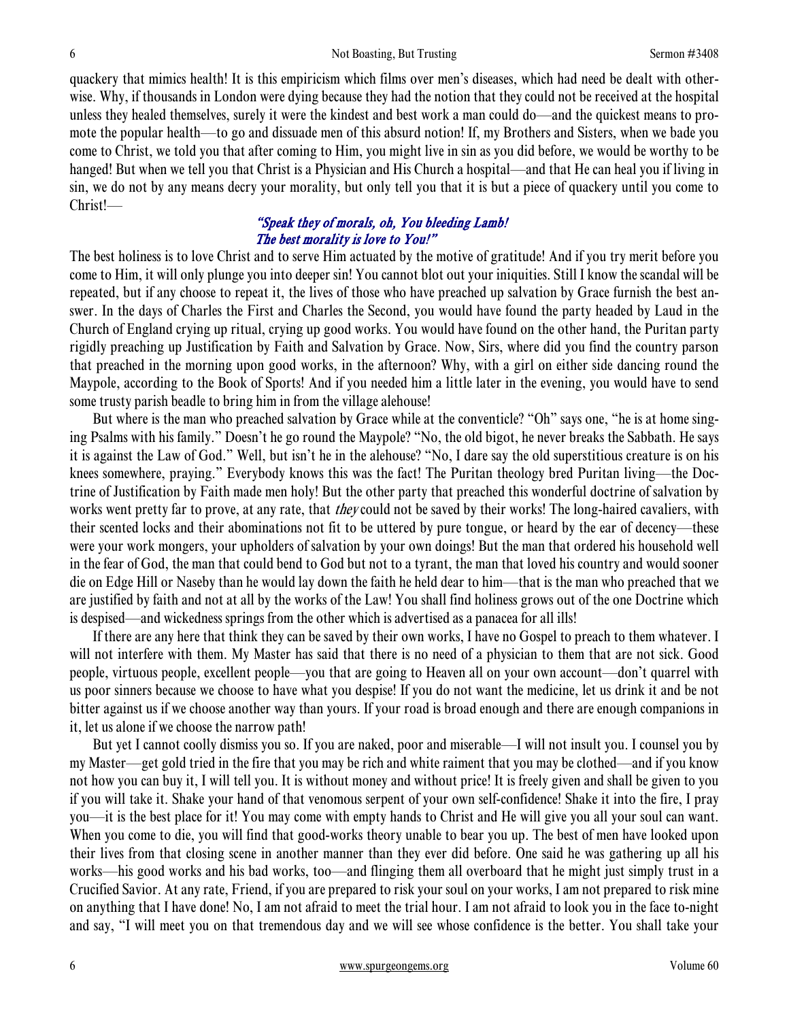quackery that mimics health! It is this empiricism which films over men's diseases, which had need be dealt with otherwise. Why, if thousands in London were dying because they had the notion that they could not be received at the hospital unless they healed themselves, surely it were the kindest and best work a man could do—and the quickest means to promote the popular health—to go and dissuade men of this absurd notion! If, my Brothers and Sisters, when we bade you come to Christ, we told you that after coming to Him, you might live in sin as you did before, we would be worthy to be hanged! But when we tell you that Christ is a Physician and His Church a hospital—and that He can heal you if living in sin, we do not by any means decry your morality, but only tell you that it is but a piece of quackery until you come to Christ!—

## "Speak they of morals, oh, You bleeding Lamb! The best morality is love to You!"

The best holiness is to love Christ and to serve Him actuated by the motive of gratitude! And if you try merit before you come to Him, it will only plunge you into deeper sin! You cannot blot out your iniquities. Still I know the scandal will be repeated, but if any choose to repeat it, the lives of those who have preached up salvation by Grace furnish the best answer. In the days of Charles the First and Charles the Second, you would have found the party headed by Laud in the Church of England crying up ritual, crying up good works. You would have found on the other hand, the Puritan party rigidly preaching up Justification by Faith and Salvation by Grace. Now, Sirs, where did you find the country parson that preached in the morning upon good works, in the afternoon? Why, with a girl on either side dancing round the Maypole, according to the Book of Sports! And if you needed him a little later in the evening, you would have to send some trusty parish beadle to bring him in from the village alehouse!

But where is the man who preached salvation by Grace while at the conventicle? "Oh" says one, "he is at home singing Psalms with his family." Doesn't he go round the Maypole? "No, the old bigot, he never breaks the Sabbath. He says it is against the Law of God." Well, but isn't he in the alehouse? "No, I dare say the old superstitious creature is on his knees somewhere, praying." Everybody knows this was the fact! The Puritan theology bred Puritan living—the Doctrine of Justification by Faith made men holy! But the other party that preached this wonderful doctrine of salvation by works went pretty far to prove, at any rate, that *they* could not be saved by their works! The long-haired cavaliers, with their scented locks and their abominations not fit to be uttered by pure tongue, or heard by the ear of decency—these were your work mongers, your upholders of salvation by your own doings! But the man that ordered his household well in the fear of God, the man that could bend to God but not to a tyrant, the man that loved his country and would sooner die on Edge Hill or Naseby than he would lay down the faith he held dear to him—that is the man who preached that we are justified by faith and not at all by the works of the Law! You shall find holiness grows out of the one Doctrine which is despised—and wickedness springs from the other which is advertised as a panacea for all ills!

If there are any here that think they can be saved by their own works, I have no Gospel to preach to them whatever. I will not interfere with them. My Master has said that there is no need of a physician to them that are not sick. Good people, virtuous people, excellent people—you that are going to Heaven all on your own account—don't quarrel with us poor sinners because we choose to have what you despise! If you do not want the medicine, let us drink it and be not bitter against us if we choose another way than yours. If your road is broad enough and there are enough companions in it, let us alone if we choose the narrow path!

But yet I cannot coolly dismiss you so. If you are naked, poor and miserable—I will not insult you. I counsel you by my Master—get gold tried in the fire that you may be rich and white raiment that you may be clothed—and if you know not how you can buy it, I will tell you. It is without money and without price! It is freely given and shall be given to you if you will take it. Shake your hand of that venomous serpent of your own self-confidence! Shake it into the fire, I pray you—it is the best place for it! You may come with empty hands to Christ and He will give you all your soul can want. When you come to die, you will find that good-works theory unable to bear you up. The best of men have looked upon their lives from that closing scene in another manner than they ever did before. One said he was gathering up all his works—his good works and his bad works, too—and flinging them all overboard that he might just simply trust in a Crucified Savior. At any rate, Friend, if you are prepared to risk your soul on your works, I am not prepared to risk mine on anything that I have done! No, I am not afraid to meet the trial hour. I am not afraid to look you in the face to-night and say, "I will meet you on that tremendous day and we will see whose confidence is the better. You shall take your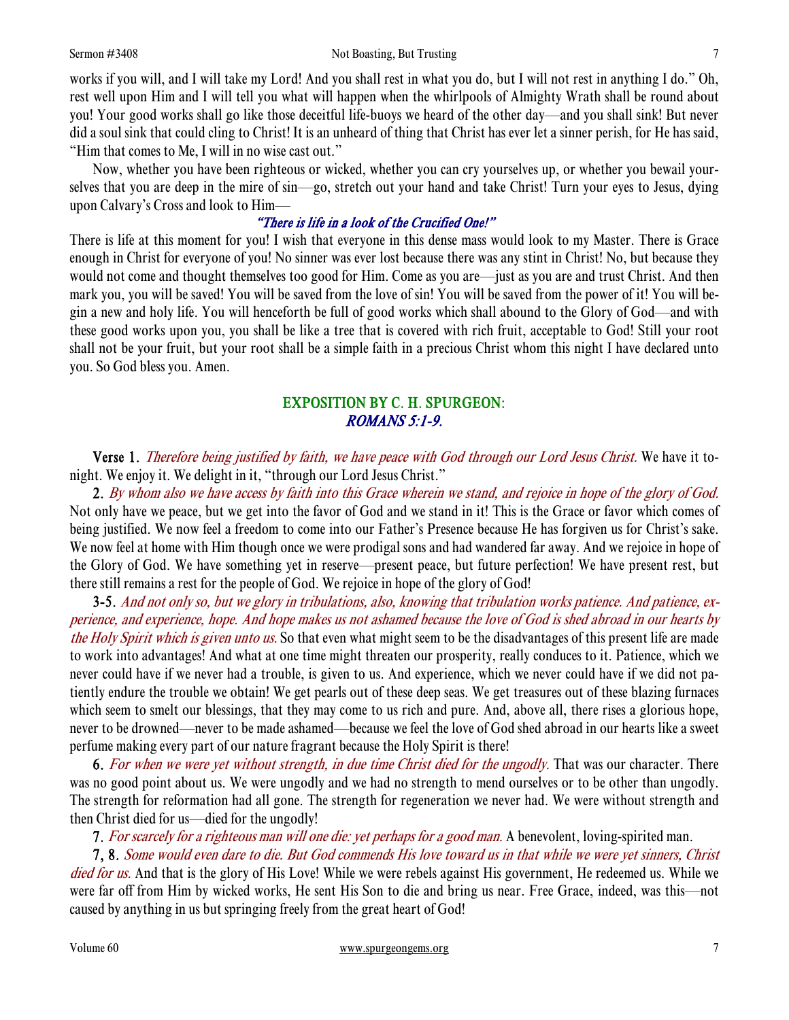works if you will, and I will take my Lord! And you shall rest in what you do, but I will not rest in anything I do." Oh, rest well upon Him and I will tell you what will happen when the whirlpools of Almighty Wrath shall be round about you! Your good works shall go like those deceitful life-buoys we heard of the other day—and you shall sink! But never did a soul sink that could cling to Christ! It is an unheard of thing that Christ has ever let a sinner perish, for He has said, "Him that comes to Me, I will in no wise cast out."

Now, whether you have been righteous or wicked, whether you can cry yourselves up, or whether you bewail yourselves that you are deep in the mire of sin—go, stretch out your hand and take Christ! Turn your eyes to Jesus, dying upon Calvary's Cross and look to Him—

# "There is life in a look of the Crucified One!"

There is life at this moment for you! I wish that everyone in this dense mass would look to my Master. There is Grace enough in Christ for everyone of you! No sinner was ever lost because there was any stint in Christ! No, but because they would not come and thought themselves too good for Him. Come as you are—just as you are and trust Christ. And then mark you, you will be saved! You will be saved from the love of sin! You will be saved from the power of it! You will begin a new and holy life. You will henceforth be full of good works which shall abound to the Glory of God—and with these good works upon you, you shall be like a tree that is covered with rich fruit, acceptable to God! Still your root shall not be your fruit, but your root shall be a simple faith in a precious Christ whom this night I have declared unto you. So God bless you. Amen.

# EXPOSITION BY C. H. SPURGEON: ROMANS 5:1-9.

Verse 1. Therefore being justified by faith, we have peace with God through our Lord Jesus Christ. We have it tonight. We enjoy it. We delight in it, "through our Lord Jesus Christ."

2. By whom also we have access by faith into this Grace wherein we stand, and rejoice in hope of the glory of God. Not only have we peace, but we get into the favor of God and we stand in it! This is the Grace or favor which comes of being justified. We now feel a freedom to come into our Father's Presence because He has forgiven us for Christ's sake. We now feel at home with Him though once we were prodigal sons and had wandered far away. And we rejoice in hope of the Glory of God. We have something yet in reserve—present peace, but future perfection! We have present rest, but there still remains a rest for the people of God. We rejoice in hope of the glory of God!

3-5. And not only so, but we glory in tribulations, also, knowing that tribulation works patience. And patience, experience, and experience, hope. And hope makes us not ashamed because the love of God is shed abroad in our hearts by the Holy Spirit which is given unto us. So that even what might seem to be the disadvantages of this present life are made to work into advantages! And what at one time might threaten our prosperity, really conduces to it. Patience, which we never could have if we never had a trouble, is given to us. And experience, which we never could have if we did not patiently endure the trouble we obtain! We get pearls out of these deep seas. We get treasures out of these blazing furnaces which seem to smelt our blessings, that they may come to us rich and pure. And, above all, there rises a glorious hope, never to be drowned—never to be made ashamed—because we feel the love of God shed abroad in our hearts like a sweet perfume making every part of our nature fragrant because the Holy Spirit is there!

6. For when we were yet without strength, in due time Christ died for the ungodly. That was our character. There was no good point about us. We were ungodly and we had no strength to mend ourselves or to be other than ungodly. The strength for reformation had all gone. The strength for regeneration we never had. We were without strength and then Christ died for us—died for the ungodly!

7. For scarcely for a righteous man will one die: yet perhaps for a good man. A benevolent, loving-spirited man.

7, 8. Some would even dare to die. But God commends His love toward us in that while we were yet sinners, Christ died for us. And that is the glory of His Love! While we were rebels against His government, He redeemed us. While we were far off from Him by wicked works, He sent His Son to die and bring us near. Free Grace, indeed, was this—not caused by anything in us but springing freely from the great heart of God!

Volume 60 www.spurgeongems.org 7 7